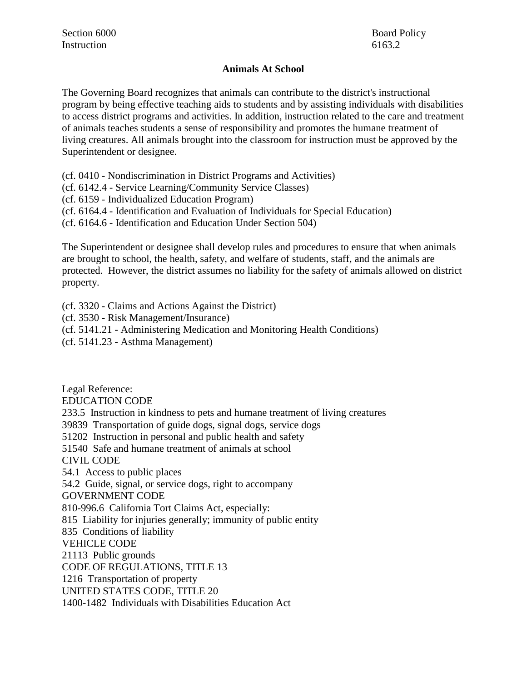#### **Animals At School**

The Governing Board recognizes that animals can contribute to the district's instructional program by being effective teaching aids to students and by assisting individuals with disabilities to access district programs and activities. In addition, instruction related to the care and treatment of animals teaches students a sense of responsibility and promotes the humane treatment of living creatures. All animals brought into the classroom for instruction must be approved by the Superintendent or designee.

(cf. 0410 - Nondiscrimination in District Programs and Activities)

(cf. 6142.4 - Service Learning/Community Service Classes)

(cf. 6159 - Individualized Education Program)

(cf. 6164.4 - Identification and Evaluation of Individuals for Special Education)

(cf. 6164.6 - Identification and Education Under Section 504)

The Superintendent or designee shall develop rules and procedures to ensure that when animals are brought to school, the health, safety, and welfare of students, staff, and the animals are protected. However, the district assumes no liability for the safety of animals allowed on district property.

(cf. 3320 - Claims and Actions Against the District)

(cf. 3530 - Risk Management/Insurance)

(cf. 5141.21 - Administering Medication and Monitoring Health Conditions)

(cf. 5141.23 - Asthma Management)

Legal Reference: EDUCATION CODE 233.5 Instruction in kindness to pets and humane treatment of living creatures 39839 Transportation of guide dogs, signal dogs, service dogs 51202 Instruction in personal and public health and safety 51540 Safe and humane treatment of animals at school CIVIL CODE 54.1 Access to public places 54.2 Guide, signal, or service dogs, right to accompany GOVERNMENT CODE 810-996.6 California Tort Claims Act, especially: 815 Liability for injuries generally; immunity of public entity 835 Conditions of liability VEHICLE CODE 21113 Public grounds CODE OF REGULATIONS, TITLE 13 1216 Transportation of property UNITED STATES CODE, TITLE 20 1400-1482 Individuals with Disabilities Education Act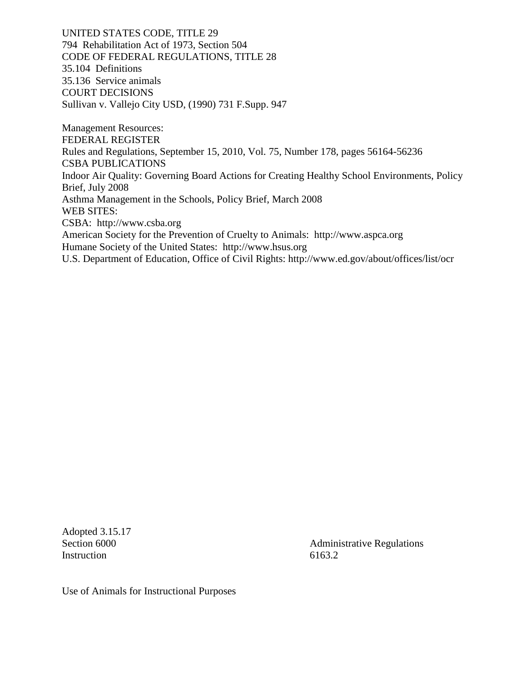UNITED STATES CODE, TITLE 29 794 Rehabilitation Act of 1973, Section 504 CODE OF FEDERAL REGULATIONS, TITLE 28 35.104 Definitions 35.136 Service animals COURT DECISIONS Sullivan v. Vallejo City USD, (1990) 731 F.Supp. 947

Management Resources: FEDERAL REGISTER Rules and Regulations, September 15, 2010, Vol. 75, Number 178, pages 56164-56236 CSBA PUBLICATIONS Indoor Air Quality: Governing Board Actions for Creating Healthy School Environments, Policy Brief, July 2008 Asthma Management in the Schools, Policy Brief, March 2008 WEB SITES: CSBA: http://www.csba.org American Society for the Prevention of Cruelty to Animals: http://www.aspca.org Humane Society of the United States: http://www.hsus.org U.S. Department of Education, Office of Civil Rights: http://www.ed.gov/about/offices/list/ocr

Adopted 3.15.17 Instruction 6163.2

Section 6000 **Administrative Regulations** 

Use of Animals for Instructional Purposes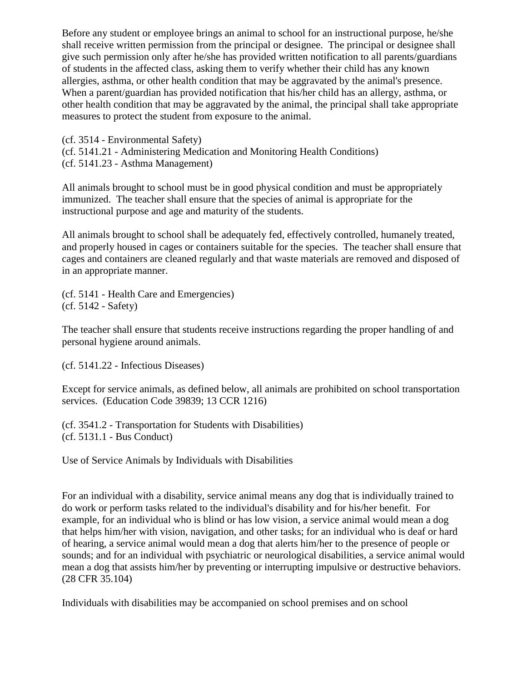Before any student or employee brings an animal to school for an instructional purpose, he/she shall receive written permission from the principal or designee. The principal or designee shall give such permission only after he/she has provided written notification to all parents/guardians of students in the affected class, asking them to verify whether their child has any known allergies, asthma, or other health condition that may be aggravated by the animal's presence. When a parent/guardian has provided notification that his/her child has an allergy, asthma, or other health condition that may be aggravated by the animal, the principal shall take appropriate measures to protect the student from exposure to the animal.

(cf. 3514 - Environmental Safety) (cf. 5141.21 - Administering Medication and Monitoring Health Conditions) (cf. 5141.23 - Asthma Management)

All animals brought to school must be in good physical condition and must be appropriately immunized. The teacher shall ensure that the species of animal is appropriate for the instructional purpose and age and maturity of the students.

All animals brought to school shall be adequately fed, effectively controlled, humanely treated, and properly housed in cages or containers suitable for the species. The teacher shall ensure that cages and containers are cleaned regularly and that waste materials are removed and disposed of in an appropriate manner.

(cf. 5141 - Health Care and Emergencies) (cf. 5142 - Safety)

The teacher shall ensure that students receive instructions regarding the proper handling of and personal hygiene around animals.

(cf. 5141.22 - Infectious Diseases)

Except for service animals, as defined below, all animals are prohibited on school transportation services. (Education Code 39839; 13 CCR 1216)

(cf. 3541.2 - Transportation for Students with Disabilities) (cf. 5131.1 - Bus Conduct)

Use of Service Animals by Individuals with Disabilities

For an individual with a disability, service animal means any dog that is individually trained to do work or perform tasks related to the individual's disability and for his/her benefit. For example, for an individual who is blind or has low vision, a service animal would mean a dog that helps him/her with vision, navigation, and other tasks; for an individual who is deaf or hard of hearing, a service animal would mean a dog that alerts him/her to the presence of people or sounds; and for an individual with psychiatric or neurological disabilities, a service animal would mean a dog that assists him/her by preventing or interrupting impulsive or destructive behaviors. (28 CFR 35.104)

Individuals with disabilities may be accompanied on school premises and on school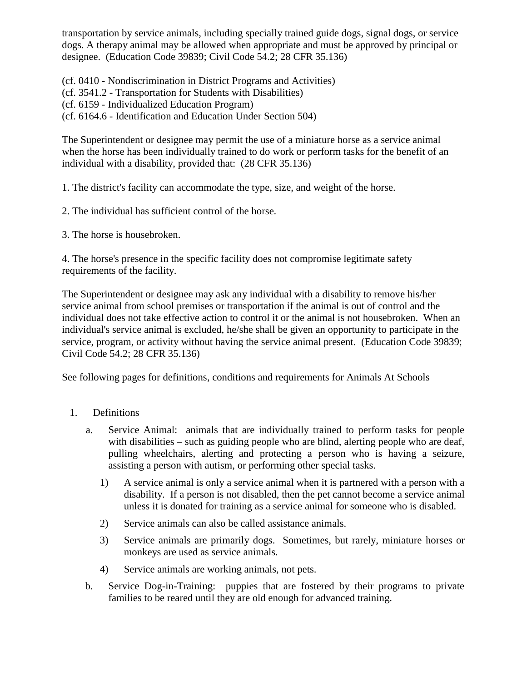transportation by service animals, including specially trained guide dogs, signal dogs, or service dogs. A therapy animal may be allowed when appropriate and must be approved by principal or designee. (Education Code 39839; Civil Code 54.2; 28 CFR 35.136)

(cf. 0410 - Nondiscrimination in District Programs and Activities)

- (cf. 3541.2 Transportation for Students with Disabilities)
- (cf. 6159 Individualized Education Program)

(cf. 6164.6 - Identification and Education Under Section 504)

The Superintendent or designee may permit the use of a miniature horse as a service animal when the horse has been individually trained to do work or perform tasks for the benefit of an individual with a disability, provided that: (28 CFR 35.136)

1. The district's facility can accommodate the type, size, and weight of the horse.

- 2. The individual has sufficient control of the horse.
- 3. The horse is housebroken.

4. The horse's presence in the specific facility does not compromise legitimate safety requirements of the facility.

The Superintendent or designee may ask any individual with a disability to remove his/her service animal from school premises or transportation if the animal is out of control and the individual does not take effective action to control it or the animal is not housebroken. When an individual's service animal is excluded, he/she shall be given an opportunity to participate in the service, program, or activity without having the service animal present. (Education Code 39839; Civil Code 54.2; 28 CFR 35.136)

See following pages for definitions, conditions and requirements for Animals At Schools

- 1. Definitions
	- a. Service Animal: animals that are individually trained to perform tasks for people with disabilities – such as guiding people who are blind, alerting people who are deaf, pulling wheelchairs, alerting and protecting a person who is having a seizure, assisting a person with autism, or performing other special tasks.
		- 1) A service animal is only a service animal when it is partnered with a person with a disability. If a person is not disabled, then the pet cannot become a service animal unless it is donated for training as a service animal for someone who is disabled.
		- 2) Service animals can also be called assistance animals.
		- 3) Service animals are primarily dogs. Sometimes, but rarely, miniature horses or monkeys are used as service animals.
		- 4) Service animals are working animals, not pets.
	- b. Service Dog-in-Training: puppies that are fostered by their programs to private families to be reared until they are old enough for advanced training.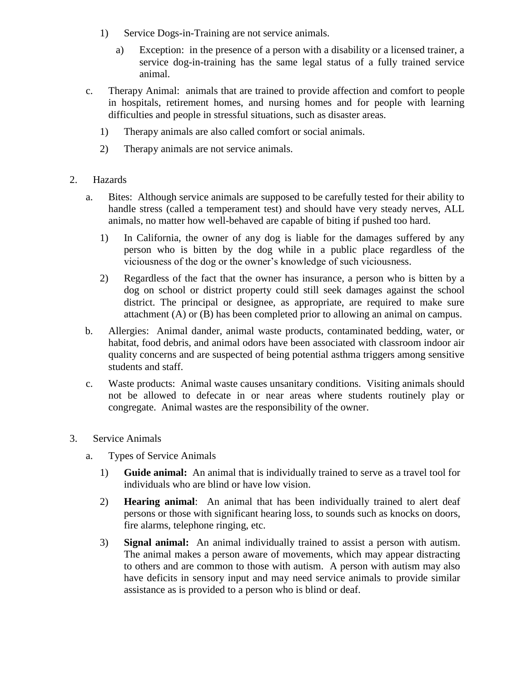- 1) Service Dogs-in-Training are not service animals.
	- a) Exception: in the presence of a person with a disability or a licensed trainer, a service dog-in-training has the same legal status of a fully trained service animal.
- c. Therapy Animal: animals that are trained to provide affection and comfort to people in hospitals, retirement homes, and nursing homes and for people with learning difficulties and people in stressful situations, such as disaster areas.
	- 1) Therapy animals are also called comfort or social animals.
	- 2) Therapy animals are not service animals.
- 2. Hazards
	- a. Bites: Although service animals are supposed to be carefully tested for their ability to handle stress (called a temperament test) and should have very steady nerves, ALL animals, no matter how well-behaved are capable of biting if pushed too hard.
		- 1) In California, the owner of any dog is liable for the damages suffered by any person who is bitten by the dog while in a public place regardless of the viciousness of the dog or the owner's knowledge of such viciousness.
		- 2) Regardless of the fact that the owner has insurance, a person who is bitten by a dog on school or district property could still seek damages against the school district. The principal or designee, as appropriate, are required to make sure attachment (A) or (B) has been completed prior to allowing an animal on campus.
	- b. Allergies: Animal dander, animal waste products, contaminated bedding, water, or habitat, food debris, and animal odors have been associated with classroom indoor air quality concerns and are suspected of being potential asthma triggers among sensitive students and staff.
	- c. Waste products: Animal waste causes unsanitary conditions. Visiting animals should not be allowed to defecate in or near areas where students routinely play or congregate. Animal wastes are the responsibility of the owner.
- 3. Service Animals
	- a. Types of Service Animals
		- 1) **Guide animal:** An animal that is individually trained to serve as a travel tool for individuals who are blind or have low vision.
		- 2) **Hearing animal**: An animal that has been individually trained to alert deaf persons or those with significant hearing loss, to sounds such as knocks on doors, fire alarms, telephone ringing, etc.
		- 3) **Signal animal:** An animal individually trained to assist a person with autism. The animal makes a person aware of movements, which may appear distracting to others and are common to those with autism. A person with autism may also have deficits in sensory input and may need service animals to provide similar assistance as is provided to a person who is blind or deaf.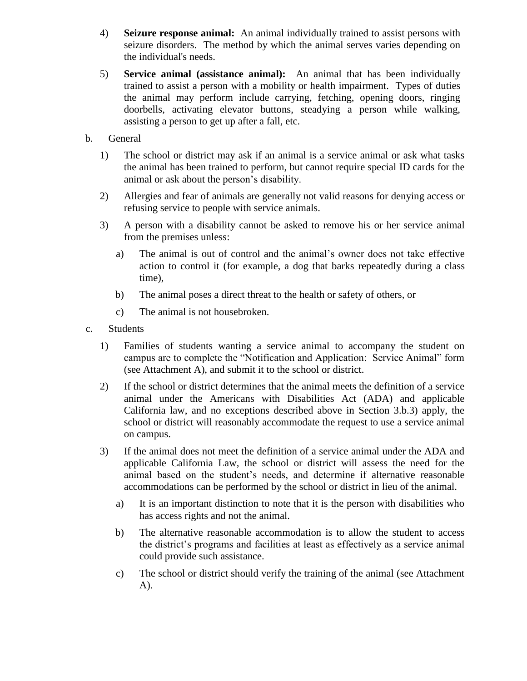- 4) **Seizure response animal:** An animal individually trained to assist persons with seizure disorders. The method by which the animal serves varies depending on the individual's needs.
- 5) **Service animal (assistance animal):** An animal that has been individually trained to assist a person with a mobility or health impairment. Types of duties the animal may perform include carrying, fetching, opening doors, ringing doorbells, activating elevator buttons, steadying a person while walking, assisting a person to get up after a fall, etc.
- b. General
	- 1) The school or district may ask if an animal is a service animal or ask what tasks the animal has been trained to perform, but cannot require special ID cards for the animal or ask about the person's disability.
	- 2) Allergies and fear of animals are generally not valid reasons for denying access or refusing service to people with service animals.
	- 3) A person with a disability cannot be asked to remove his or her service animal from the premises unless:
		- a) The animal is out of control and the animal's owner does not take effective action to control it (for example, a dog that barks repeatedly during a class time),
		- b) The animal poses a direct threat to the health or safety of others, or
		- c) The animal is not housebroken.
- c. Students
	- 1) Families of students wanting a service animal to accompany the student on campus are to complete the "Notification and Application: Service Animal" form (see Attachment A), and submit it to the school or district.
	- 2) If the school or district determines that the animal meets the definition of a service animal under the Americans with Disabilities Act (ADA) and applicable California law, and no exceptions described above in Section 3.b.3) apply, the school or district will reasonably accommodate the request to use a service animal on campus.
	- 3) If the animal does not meet the definition of a service animal under the ADA and applicable California Law, the school or district will assess the need for the animal based on the student's needs, and determine if alternative reasonable accommodations can be performed by the school or district in lieu of the animal.
		- a) It is an important distinction to note that it is the person with disabilities who has access rights and not the animal.
		- b) The alternative reasonable accommodation is to allow the student to access the district's programs and facilities at least as effectively as a service animal could provide such assistance.
		- c) The school or district should verify the training of the animal (see Attachment A).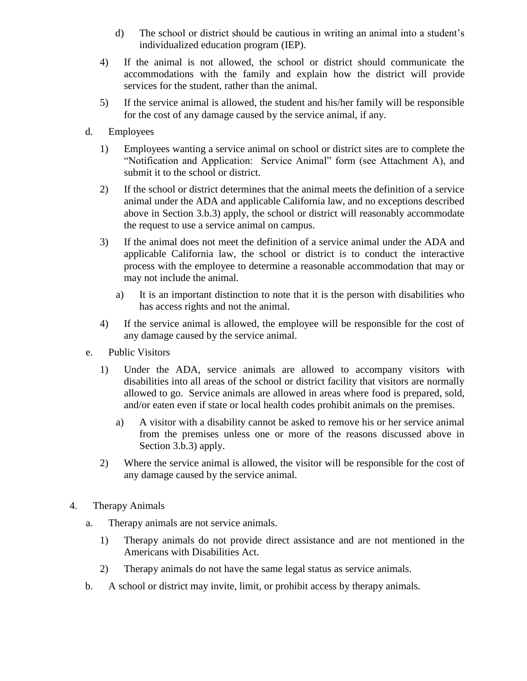- d) The school or district should be cautious in writing an animal into a student's individualized education program (IEP).
- 4) If the animal is not allowed, the school or district should communicate the accommodations with the family and explain how the district will provide services for the student, rather than the animal.
- 5) If the service animal is allowed, the student and his/her family will be responsible for the cost of any damage caused by the service animal, if any.
- d. Employees
	- 1) Employees wanting a service animal on school or district sites are to complete the "Notification and Application: Service Animal" form (see Attachment A), and submit it to the school or district.
	- 2) If the school or district determines that the animal meets the definition of a service animal under the ADA and applicable California law, and no exceptions described above in Section 3.b.3) apply, the school or district will reasonably accommodate the request to use a service animal on campus.
	- 3) If the animal does not meet the definition of a service animal under the ADA and applicable California law, the school or district is to conduct the interactive process with the employee to determine a reasonable accommodation that may or may not include the animal.
		- a) It is an important distinction to note that it is the person with disabilities who has access rights and not the animal.
	- 4) If the service animal is allowed, the employee will be responsible for the cost of any damage caused by the service animal.
- e. Public Visitors
	- 1) Under the ADA, service animals are allowed to accompany visitors with disabilities into all areas of the school or district facility that visitors are normally allowed to go. Service animals are allowed in areas where food is prepared, sold, and/or eaten even if state or local health codes prohibit animals on the premises.
		- a) A visitor with a disability cannot be asked to remove his or her service animal from the premises unless one or more of the reasons discussed above in Section 3.b.3) apply.
	- 2) Where the service animal is allowed, the visitor will be responsible for the cost of any damage caused by the service animal.
- 4. Therapy Animals
	- a. Therapy animals are not service animals.
		- 1) Therapy animals do not provide direct assistance and are not mentioned in the Americans with Disabilities Act.
		- 2) Therapy animals do not have the same legal status as service animals.
	- b. A school or district may invite, limit, or prohibit access by therapy animals.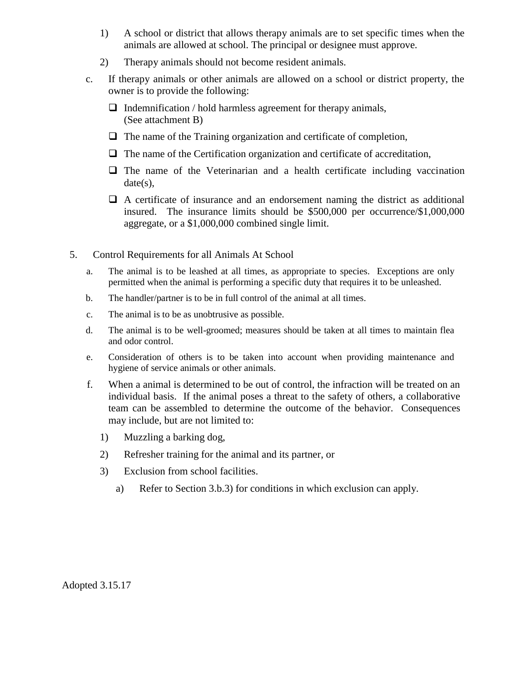- 1) A school or district that allows therapy animals are to set specific times when the animals are allowed at school. The principal or designee must approve.
- 2) Therapy animals should not become resident animals.
- c. If therapy animals or other animals are allowed on a school or district property, the owner is to provide the following:
	- $\Box$  Indemnification / hold harmless agreement for therapy animals, (See attachment B)
	- $\Box$  The name of the Training organization and certificate of completion,
	- $\Box$  The name of the Certification organization and certificate of accreditation,
	- $\Box$  The name of the Veterinarian and a health certificate including vaccination date(s),
	- $\Box$  A certificate of insurance and an endorsement naming the district as additional insured. The insurance limits should be \$500,000 per occurrence/\$1,000,000 aggregate, or a \$1,000,000 combined single limit.
- 5. Control Requirements for all Animals At School
	- a. The animal is to be leashed at all times, as appropriate to species. Exceptions are only permitted when the animal is performing a specific duty that requires it to be unleashed.
	- b. The handler/partner is to be in full control of the animal at all times.
	- c. The animal is to be as unobtrusive as possible.
	- d. The animal is to be well-groomed; measures should be taken at all times to maintain flea and odor control.
	- e. Consideration of others is to be taken into account when providing maintenance and hygiene of service animals or other animals.
	- f. When a animal is determined to be out of control, the infraction will be treated on an individual basis. If the animal poses a threat to the safety of others, a collaborative team can be assembled to determine the outcome of the behavior. Consequences may include, but are not limited to:
		- 1) Muzzling a barking dog,
		- 2) Refresher training for the animal and its partner, or
		- 3) Exclusion from school facilities.
			- a) Refer to Section 3.b.3) for conditions in which exclusion can apply.

Adopted 3.15.17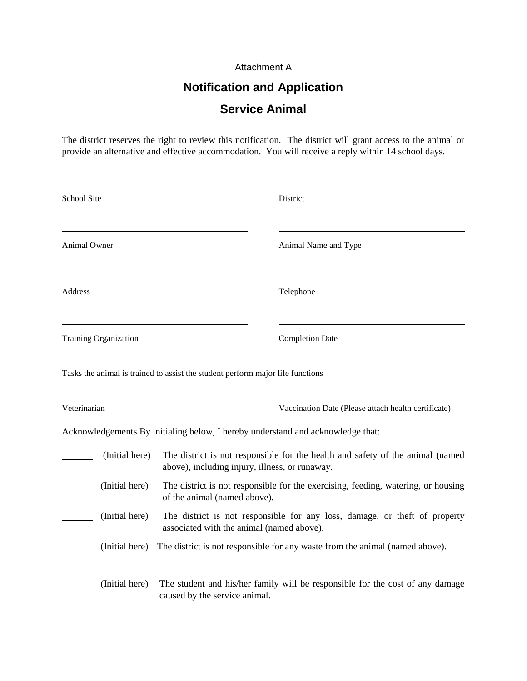#### Attachment A

## **Notification and Application Service Animal**

The district reserves the right to review this notification. The district will grant access to the animal or provide an alternative and effective accommodation. You will receive a reply within 14 school days.

| School Site                  |                |                                                                                                                                  | District                                                                        |  |
|------------------------------|----------------|----------------------------------------------------------------------------------------------------------------------------------|---------------------------------------------------------------------------------|--|
| Animal Owner                 |                |                                                                                                                                  | Animal Name and Type                                                            |  |
| Address                      |                |                                                                                                                                  | Telephone                                                                       |  |
| <b>Training Organization</b> |                |                                                                                                                                  | <b>Completion Date</b>                                                          |  |
|                              |                | Tasks the animal is trained to assist the student perform major life functions                                                   |                                                                                 |  |
| Veterinarian                 |                |                                                                                                                                  | Vaccination Date (Please attach health certificate)                             |  |
|                              |                |                                                                                                                                  | Acknowledgements By initialing below, I hereby understand and acknowledge that: |  |
|                              | (Initial here) | The district is not responsible for the health and safety of the animal (named<br>above), including injury, illness, or runaway. |                                                                                 |  |
|                              | (Initial here) | The district is not responsible for the exercising, feeding, watering, or housing<br>of the animal (named above).                |                                                                                 |  |
|                              | (Initial here) | The district is not responsible for any loss, damage, or theft of property<br>associated with the animal (named above).          |                                                                                 |  |
|                              | (Initial here) | The district is not responsible for any waste from the animal (named above).                                                     |                                                                                 |  |
|                              | (Initial here) | caused by the service animal.                                                                                                    | The student and his/her family will be responsible for the cost of any damage   |  |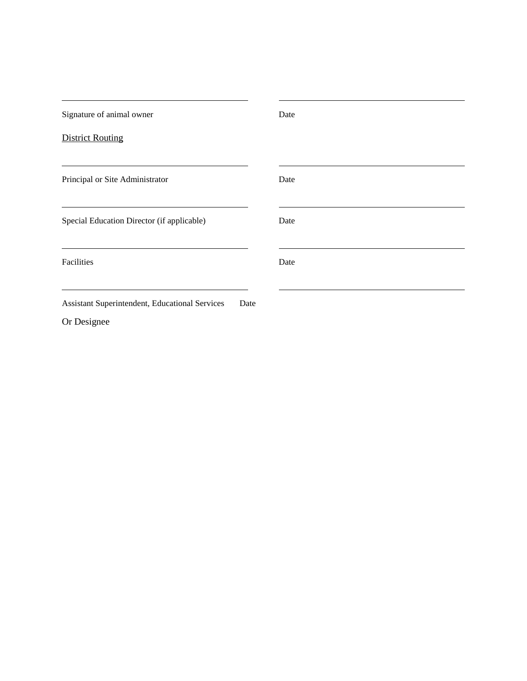| Signature of animal owner                              | Date |
|--------------------------------------------------------|------|
| <b>District Routing</b>                                |      |
| Principal or Site Administrator                        | Date |
| Special Education Director (if applicable)             | Date |
| Facilities                                             | Date |
| Assistant Superintendent, Educational Services<br>Date |      |

Or Designee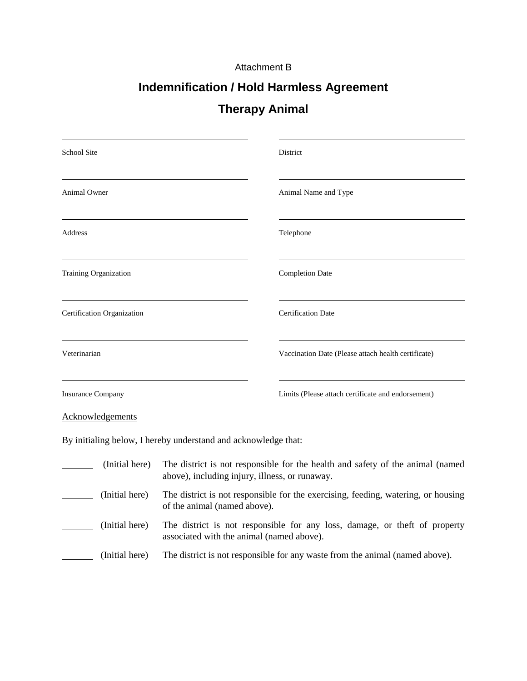#### Attachment B

# **Indemnification / Hold Harmless Agreement**

### **Therapy Animal**

| <b>School Site</b>                                             |                                                                                                                                  | District                                            |  |  |
|----------------------------------------------------------------|----------------------------------------------------------------------------------------------------------------------------------|-----------------------------------------------------|--|--|
| <b>Animal Owner</b>                                            |                                                                                                                                  | Animal Name and Type                                |  |  |
| <b>Address</b>                                                 |                                                                                                                                  | Telephone                                           |  |  |
| Training Organization                                          |                                                                                                                                  | <b>Completion Date</b>                              |  |  |
| Certification Organization                                     |                                                                                                                                  | <b>Certification Date</b>                           |  |  |
| Veterinarian                                                   |                                                                                                                                  | Vaccination Date (Please attach health certificate) |  |  |
| <b>Insurance Company</b>                                       |                                                                                                                                  | Limits (Please attach certificate and endorsement)  |  |  |
| Acknowledgements                                               |                                                                                                                                  |                                                     |  |  |
| By initialing below, I hereby understand and acknowledge that: |                                                                                                                                  |                                                     |  |  |
| (Initial here)                                                 | The district is not responsible for the health and safety of the animal (named<br>above), including injury, illness, or runaway. |                                                     |  |  |
| (Initial here)                                                 | The district is not responsible for the exercising, feeding, watering, or housing<br>of the animal (named above).                |                                                     |  |  |
| (Initial here)                                                 | The district is not responsible for any loss, damage, or theft of property<br>associated with the animal (named above).          |                                                     |  |  |
| (Initial here)                                                 | The district is not responsible for any waste from the animal (named above).                                                     |                                                     |  |  |